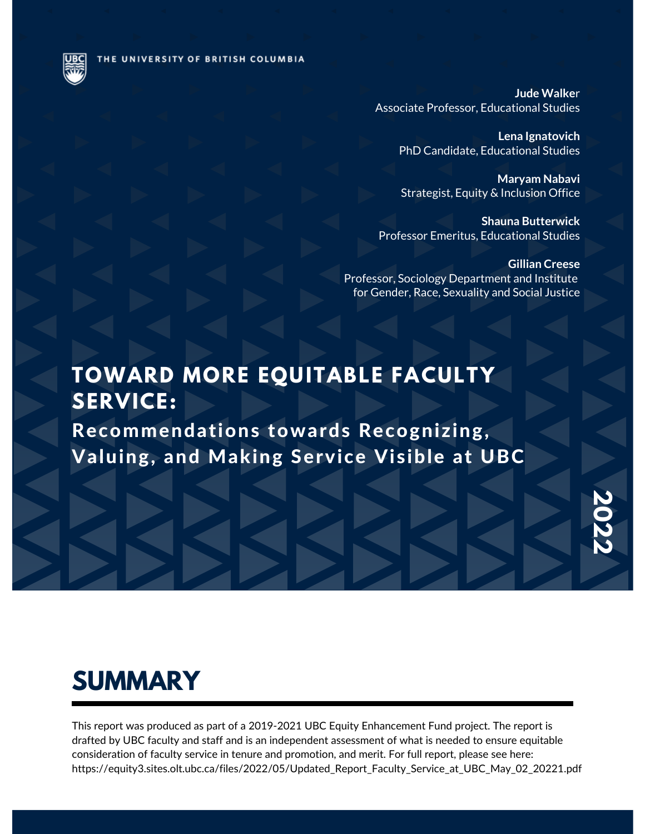THE UNIVERSITY OF BRITISH COLUMBIA

**Jude Walke**r Associate Professor, Educational Studies

> **Lena Ignatovich** PhD Candidate, Educational Studies

> **Maryam Nabavi** Strategist, Equity & Inclusion Office

**Shauna Butterwick** Professor Emeritus, Educational Studies

**Gillian Creese** Professor, Sociology Department and Institute for Gender, Race, Sexuality and Social Justice

### **TOWARD MORE EQUITABLE FACULTY SERVICE:**

Recommendations towards Recognizing, Valuing, and Making Service Visible at UBC

### **SUMMARY**

This report was produced as part of a 2019-2021 UBC Equity Enhancement Fund project. The report is drafted by UBC faculty and staff and is an independent assessment of what is needed to ensure equitable consideration of faculty service in tenure and promotion, and merit. For full report, please see here: https://equity3.sites.olt.ubc.ca/files/2022/05/Updated\_Report\_Faculty\_Service\_at\_UBC\_May\_02\_20221.pdf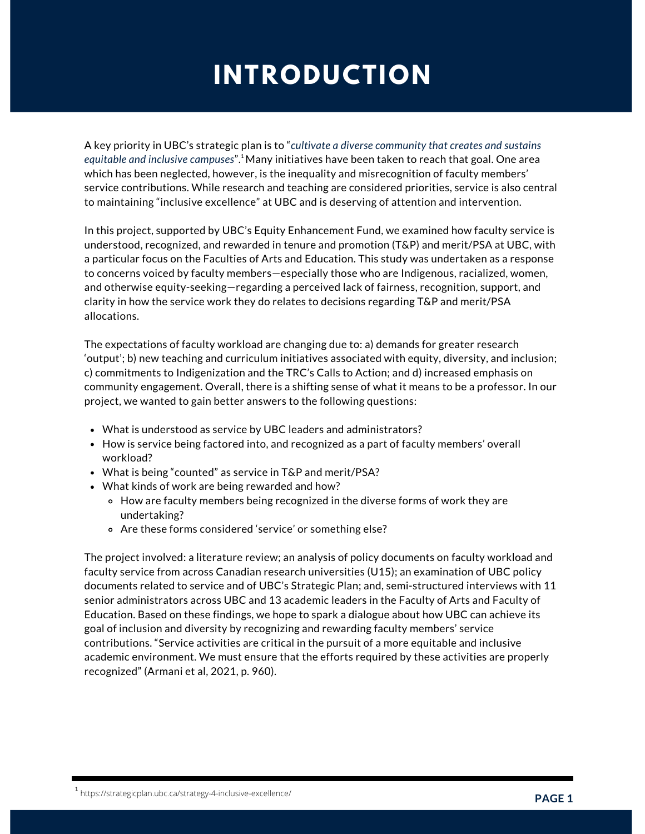## **INTRODUCTION**

A key priority in UBC's strategic plan is to "*cultivate a diverse community that creates and sustains equitable and inclusive campuses*". Many initiatives have been taken to reach that goal. One area 1 which has been neglected, however, is the inequality and misrecognition of faculty members' service contributions. While research and teaching are considered priorities, service is also central to maintaining "inclusive excellence" at UBC and is deserving of attention and intervention.

In this project, supported by UBC's Equity Enhancement Fund, we examined how faculty service is understood, recognized, and rewarded in tenure and promotion (T&P) and merit/PSA at UBC, with a particular focus on the Faculties of Arts and Education. This study was undertaken as a response to concerns voiced by faculty members—especially those who are Indigenous, racialized, women, and otherwise equity-seeking—regarding a perceived lack of fairness, recognition, support, and clarity in how the service work they do relates to decisions regarding T&P and merit/PSA allocations.

The expectations of faculty workload are changing due to: a) demands for greater research 'output'; b) new teaching and curriculum initiatives associated with equity, diversity, and inclusion; c) commitments to Indigenization and the TRC's Calls to Action; and d) increased emphasis on community engagement. Overall, there is a shifting sense of what it means to be a professor. In our project, we wanted to gain better answers to the following questions:

- What is understood as service by UBC leaders and administrators?
- How is service being factored into, and recognized as a part of faculty members' overall workload?
- What is being "counted" as service in T&P and merit/PSA?
- What kinds of work are being rewarded and how?
	- o How are faculty members being recognized in the diverse forms of work they are undertaking?
	- Are these forms considered 'service' or something else?

The project involved: a literature review; an analysis of policy documents on faculty workload and faculty service from across Canadian research universities (U15); an examination of UBC policy documents related to service and of UBC's Strategic Plan; and, semi-structured interviews with 11 senior administrators across UBC and 13 academic leaders in the Faculty of Arts and Faculty of Education. Based on these findings, we hope to spark a dialogue about how UBC can achieve its goal of inclusion and diversity by recognizing and rewarding faculty members' service contributions. "Service activities are critical in the pursuit of a more equitable and inclusive academic environment. We must ensure that the efforts required by these activities are properly recognized" (Armani et al, 2021, p. 960).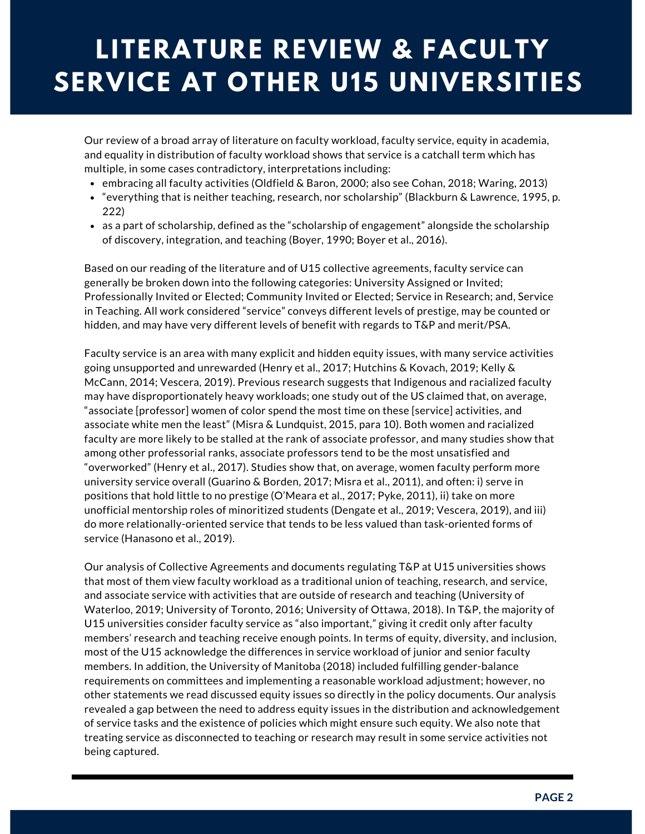## **LITERATURE REVIEW & FACULTY SERVICE AT OTHER U15 UNIVERSITIES**

Our review of a broad array of literature on faculty workload, faculty service, equity in academia, and equality in distribution of faculty workload shows that service is a catchall term which has multiple, in some cases contradictory, interpretations including:

- embracing all faculty activities (Oldfield & Baron, 2000; also see Cohan, 2018; Waring, 2013)
- "everything that is neither teaching, research, nor scholarship" (Blackburn & Lawrence, 1995, p. 222)
- as a part of scholarship, defined as the "scholarship of engagement" alongside the scholarship of discovery, integration, and teaching (Boyer, 1990; Boyer et al., 2016).

Based on our reading of the literature and of U15 collective agreements, faculty service can generally be broken down into the following categories: University Assigned or Invited; Professionally Invited or Elected; Community Invited or Elected; Service in Research; and, Service in Teaching. All work considered "service" conveys different levels of prestige, may be counted or hidden, and may have very different levels of benefit with regards to T&P and merit/PSA.

Faculty service is an area with many explicit and hidden equity issues, with many service activities going unsupported and unrewarded (Henry et al., 2017; Hutchins & Kovach, 2019; Kelly & McCann, 2014; Vescera, 2019). Previous research suggests that Indigenous and racialized faculty may have disproportionately heavy workloads; one study out of the US claimed that, on average, "associate [professor] women of color spend the most time on these [service] activities, and associate white men the least" (Misra & Lundquist, 2015, para 10). Both women and racialized faculty are more likely to be stalled at the rank of associate professor, and many studies show that among other professorial ranks, associate professors tend to be the most unsatisfied and "overworked" (Henry et al., 2017). Studies show that, on average, women faculty perform more university service overall (Guarino & Borden, 2017; Misra et al., 2011), and often: i) serve in positions that hold little to no prestige (O'Meara et al., 2017; Pyke, 2011), ii) take on more unofficial mentorship roles of minoritized students (Dengate et al., 2019; Vescera, 2019), and iii) do more relationally-oriented service that tends to be less valued than task-oriented forms of service (Hanasono et al., 2019).

Our analysis of Collective Agreements and documents regulating T&P at U15 universities shows that most of them view faculty workload as a traditional union of teaching, research, and service, and associate service with activities that are outside of research and teaching (University of Waterloo, 2019; University of Toronto, 2016; University of Ottawa, 2018). In T&P, the majority of U15 universities consider faculty service as "also important," giving it credit only after faculty members' research and teaching receive enough points. In terms of equity, diversity, and inclusion, most of the U15 acknowledge the differences in service workload of junior and senior faculty members. In addition, the University of Manitoba (2018) included fulfilling gender-balance requirements on committees and implementing a reasonable workload adjustment; however, no other statements we read discussed equity issues so directly in the policy documents. Our analysis revealed a gap between the need to address equity issues in the distribution and acknowledgement of service tasks and the existence of policies which might ensure such equity. We also note that treating service as disconnected to teaching or research may result in some service activities not being captured.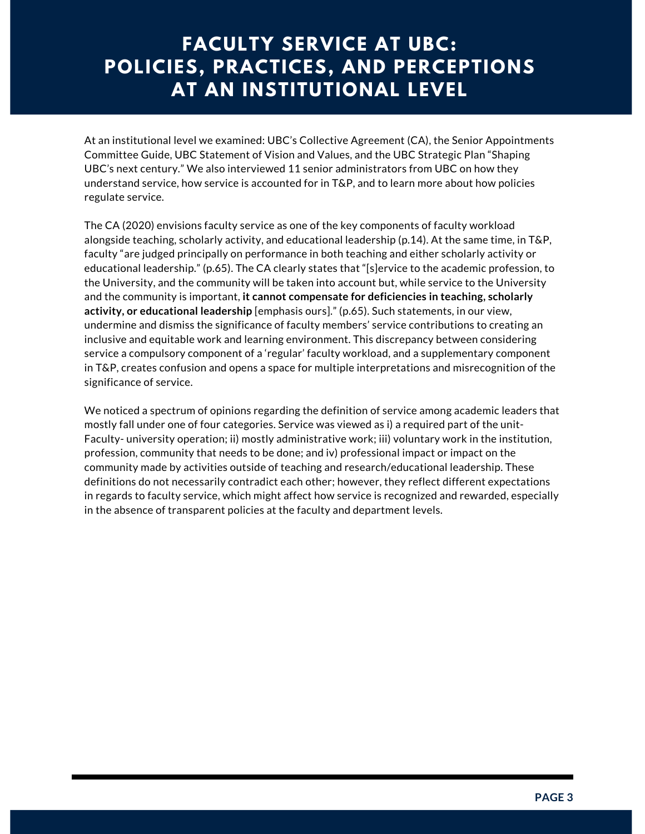### **FACULTY SERVICE AT UBC: POLICIES, PRACTICES, AND PERCEPTIONS AT AN INSTITUTIONAL LEVEL**

At an institutional level we examined: UBC's Collective Agreement (CA), the Senior Appointments Committee Guide, UBC Statement of Vision and Values, and the UBC Strategic Plan "Shaping UBC's next century." We also interviewed 11 senior administrators from UBC on how they understand service, how service is accounted for in T&P, and to learn more about how policies regulate service.

The CA (2020) envisions faculty service as one of the key components of faculty workload alongside teaching, scholarly activity, and educational leadership (p.14). At the same time, in T&P, faculty "are judged principally on performance in both teaching and either scholarly activity or educational leadership." (p.65). The CA clearly states that "[s]ervice to the academic profession, to the University, and the community will be taken into account but, while service to the University and the community is important, **it cannot compensate for deficiencies in teaching, scholarly activity, or educational leadership** [emphasis ours]." (p.65). Such statements, in our view, undermine and dismiss the significance of faculty members' service contributions to creating an inclusive and equitable work and learning environment. This discrepancy between considering service a compulsory component of a 'regular' faculty workload, and a supplementary component in T&P, creates confusion and opens a space for multiple interpretations and misrecognition of the significance of service.

We noticed a spectrum of opinions regarding the definition of service among academic leaders that mostly fall under one of four categories. Service was viewed as i) a required part of the unit-Faculty- university operation; ii) mostly administrative work; iii) voluntary work in the institution, profession, community that needs to be done; and iv) professional impact or impact on the community made by activities outside of teaching and research/educational leadership. These definitions do not necessarily contradict each other; however, they reflect different expectations in regards to faculty service, which might affect how service is recognized and rewarded, especially in the absence of transparent policies at the faculty and department levels.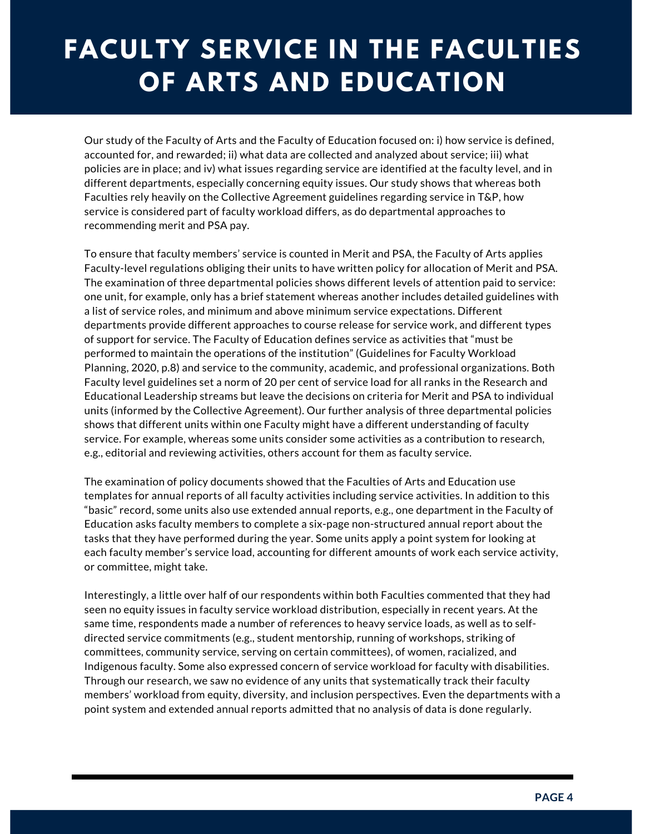# **FACULTY SERVICE IN THE FACULTIES OF ARTS AND EDUCATION**

Our study of the Faculty of Arts and the Faculty of Education focused on: i) how service is defined, accounted for, and rewarded; ii) what data are collected and analyzed about service; iii) what policies are in place; and iv) what issues regarding service are identified at the faculty level, and in different departments, especially concerning equity issues. Our study shows that whereas both Faculties rely heavily on the Collective Agreement guidelines regarding service in T&P, how service is considered part of faculty workload differs, as do departmental approaches to recommending merit and PSA pay.

To ensure that faculty members' service is counted in Merit and PSA, the Faculty of Arts applies Faculty-level regulations obliging their units to have written policy for allocation of Merit and PSA. The examination of three departmental policies shows different levels of attention paid to service: one unit, for example, only has a brief statement whereas another includes detailed guidelines with a list of service roles, and minimum and above minimum service expectations. Different departments provide different approaches to course release for service work, and different types of support for service. The Faculty of Education defines service as activities that "must be performed to maintain the operations of the institution" (Guidelines for Faculty Workload Planning, 2020, p.8) and service to the community, academic, and professional organizations. Both Faculty level guidelines set a norm of 20 per cent of service load for all ranks in the Research and Educational Leadership streams but leave the decisions on criteria for Merit and PSA to individual units (informed by the Collective Agreement). Our further analysis of three departmental policies shows that different units within one Faculty might have a different understanding of faculty service. For example, whereas some units consider some activities as a contribution to research, e.g., editorial and reviewing activities, others account for them as faculty service.

The examination of policy documents showed that the Faculties of Arts and Education use templates for annual reports of all faculty activities including service activities. In addition to this "basic" record, some units also use extended annual reports, e.g., one department in the Faculty of Education asks faculty members to complete a six-page non-structured annual report about the tasks that they have performed during the year. Some units apply a point system for looking at each faculty member's service load, accounting for different amounts of work each service activity, or committee, might take.

Interestingly, a little over half of our respondents within both Faculties commented that they had seen no equity issues in faculty service workload distribution, especially in recent years. At the same time, respondents made a number of references to heavy service loads, as well as to selfdirected service commitments (e.g., student mentorship, running of workshops, striking of committees, community service, serving on certain committees), of women, racialized, and Indigenous faculty. Some also expressed concern of service workload for faculty with disabilities. Through our research, we saw no evidence of any units that systematically track their faculty members' workload from equity, diversity, and inclusion perspectives. Even the departments with a point system and extended annual reports admitted that no analysis of data is done regularly.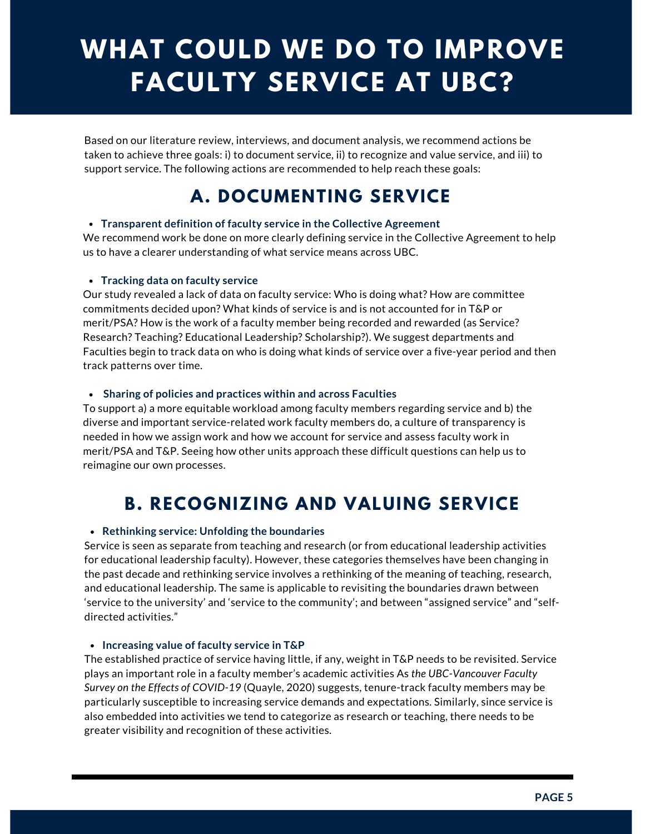# **WHAT COULD WE DO TO IMPROVE FACULTY SERVICE AT UBC?**

Based on our literature review, interviews, and document analysis, we recommend actions be taken to achieve three goals: i) to document service, ii) to recognize and value service, and iii) to support service. The following actions are recommended to help reach these goals:

### **A. DOCUMENTING SERVICE**

#### **Transparent definition of faculty service in the Collective Agreement**

We recommend work be done on more clearly defining service in the Collective Agreement to help us to have a clearer understanding of what service means across UBC.

#### **Tracking data on faculty service**

Our study revealed a lack of data on faculty service: Who is doing what? How are committee commitments decided upon? What kinds of service is and is not accounted for in T&P or merit/PSA? How is the work of a faculty member being recorded and rewarded (as Service? Research? Teaching? Educational Leadership? Scholarship?). We suggest departments and Faculties begin to track data on who is doing what kinds of service over a five-year period and then track patterns over time.

#### **Sharing of policies and practices within and across Faculties**

To support a) a more equitable workload among faculty members regarding service and b) the diverse and important service-related work faculty members do, a culture of transparency is needed in how we assign work and how we account for service and assess faculty work in merit/PSA and T&P. Seeing how other units approach these difficult questions can help us to reimagine our own processes.

### **B. RECOGNIZING AND VALUING SERVICE**

#### **Rethinking service: Unfolding the boundaries**

Service is seen as separate from teaching and research (or from educational leadership activities for educational leadership faculty). However, these categories themselves have been changing in the past decade and rethinking service involves a rethinking of the meaning of teaching, research, and educational leadership. The same is applicable to revisiting the boundaries drawn between 'service to the university' and 'service to the community'; and between "assigned service" and "selfdirected activities."

#### **Increasing value of faculty service in T&P**

The established practice of service having little, if any, weight in T&P needs to be revisited. Service plays an important role in a faculty member's academic activities As *the UBC-Vancouver Faculty Survey on the Effects of COVID-19* (Quayle, 2020) suggests, tenure-track faculty members may be particularly susceptible to increasing service demands and expectations. Similarly, since service is also embedded into activities we tend to categorize as research or teaching, there needs to be greater visibility and recognition of these activities.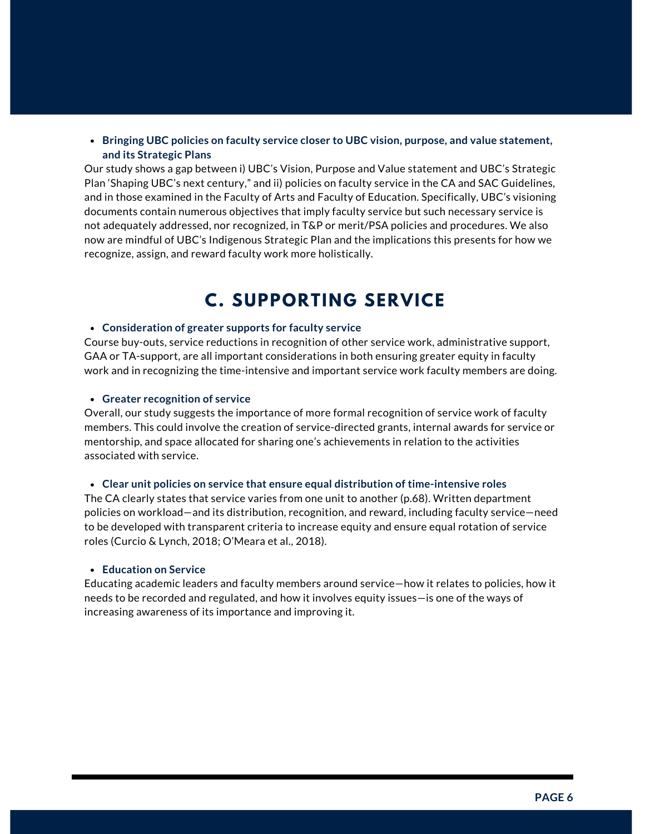#### **Bringing UBC policies on faculty service closer to UBC vision, purpose, and value statement, and its Strategic Plans**

Our study shows a gap between i) UBC's Vision, Purpose and Value statement and UBC's Strategic Plan 'Shaping UBC's next century," and ii) policies on faculty service in the CA and SAC Guidelines, and in those examined in the Faculty of Arts and Faculty of Education. Specifically, UBC's visioning documents contain numerous objectives that imply faculty service but such necessary service is not adequately addressed, nor recognized, in T&P or merit/PSA policies and procedures. We also now are mindful of UBC's Indigenous Strategic Plan and the implications this presents for how we recognize, assign, and reward faculty work more holistically.

### **C. SUPPORTING SERVICE**

#### **Consideration of greater supports for faculty service**

Course buy-outs, service reductions in recognition of other service work, administrative support, GAA or TA-support, are all important considerations in both ensuring greater equity in faculty work and in recognizing the time-intensive and important service work faculty members are doing.

#### **Greater recognition of service**

Overall, our study suggests the importance of more formal recognition of service work of faculty members. This could involve the creation of service-directed grants, internal awards for service or mentorship, and space allocated for sharing one's achievements in relation to the activities associated with service.

#### **Clear unit policies on service that ensure equal distribution of time-intensive roles**

The CA clearly states that service varies from one unit to another (p.68). Written department policies on workload—and its distribution, recognition, and reward, including faculty service—need to be developed with transparent criteria to increase equity and ensure equal rotation of service roles (Curcio & Lynch, 2018; O'Meara et al., 2018).

#### **Education on Service**

Educating academic leaders and faculty members around service—how it relates to policies, how it needs to be recorded and regulated, and how it involves equity issues—is one of the ways of increasing awareness of its importance and improving it.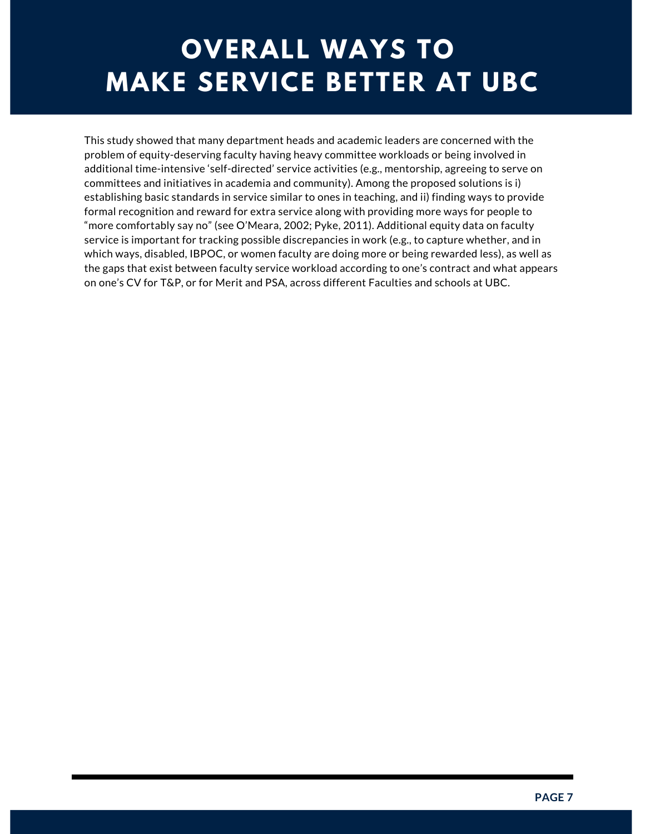## **OVERALL WAYS TO MAKE SERVICE BETTER AT UBC**

This study showed that many department heads and academic leaders are concerned with the problem of equity-deserving faculty having heavy committee workloads or being involved in additional time-intensive 'self-directed' service activities (e.g., mentorship, agreeing to serve on committees and initiatives in academia and community). Among the proposed solutions is i) establishing basic standards in service similar to ones in teaching, and ii) finding ways to provide formal recognition and reward for extra service along with providing more ways for people to "more comfortably say no" (see O'Meara, 2002; Pyke, 2011). Additional equity data on faculty service is important for tracking possible discrepancies in work (e.g., to capture whether, and in which ways, disabled, IBPOC, or women faculty are doing more or being rewarded less), as well as the gaps that exist between faculty service workload according to one's contract and what appears on one's CV for T&P, or for Merit and PSA, across different Faculties and schools at UBC.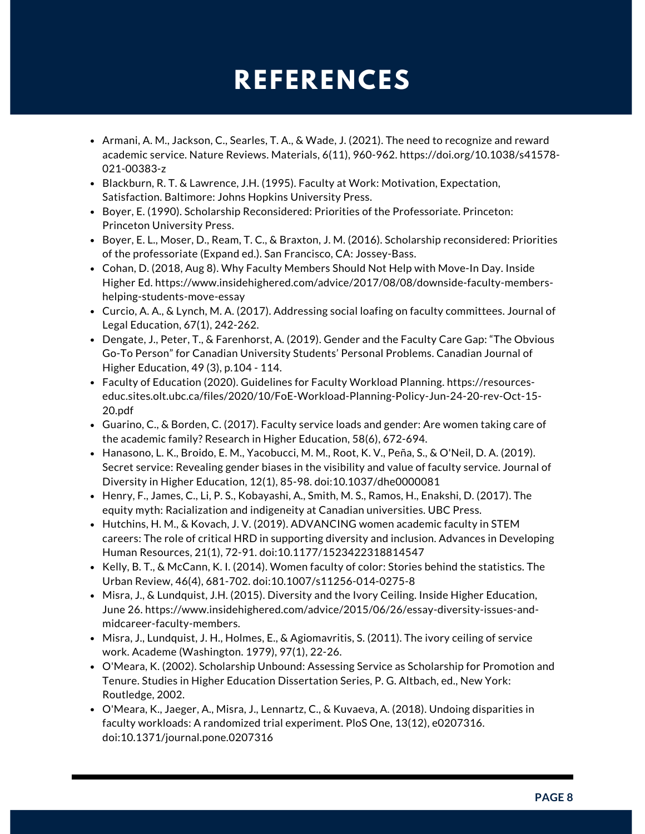## **REFERENCES**

- $\bullet$  Armani, A. M., Jackson, C., Searles, T. A., & Wade, J. (2021). The need to recognize and reward academic service. Nature Reviews. Materials, 6(11), 960-962. [https://doi.org/10.1038/s41578-](https://doi.org/10.1038/s41578-021-00383-z) 021-00383-z
- Blackburn, R. T. & Lawrence, J.H. (1995). Faculty at Work: Motivation, Expectation, Satisfaction. Baltimore: Johns Hopkins University Press.
- Boyer, E. (1990). Scholarship Reconsidered: Priorities of the Professoriate. Princeton: Princeton University Press.
- Boyer, E. L., Moser, D., Ream, T. C., & Braxton, J. M. (2016). Scholarship reconsidered: Priorities of the professoriate (Expand ed.). San Francisco, CA: Jossey-Bass.
- Cohan, D. (2018, Aug 8). Why Faculty Members Should Not Help with Move-In Day. Inside Higher Ed. [https://www.insidehighered.com/advice/2017/08/08/downside-faculty-members](https://www.insidehighered.com/advice/2017/08/08/downside-faculty-members-helping-students-move-essay)helping-students-move-essay
- Curcio, A. A., & Lynch, M. A. (2017). Addressing social loafing on faculty committees. Journal of Legal Education, 67(1), 242-262.
- Dengate, J., Peter, T., & Farenhorst, A. (2019). Gender and the Faculty Care Gap: "The Obvious Go-To Person" for Canadian University Students' Personal Problems. Canadian Journal of Higher Education, 49 (3), p.104 - 114.
- Faculty of Education (2020). Guidelines for Faculty Workload Planning. https://resources[educ.sites.olt.ubc.ca/files/2020/10/FoE-Workload-Planning-Policy-Jun-24-20-rev-Oct-15-](https://resources-educ.sites.olt.ubc.ca/files/2020/10/FoE-Workload-Planning-Policy-Jun-24-20-rev-Oct-15-20.pdf) 20.pdf
- Guarino, C., & Borden, C. (2017). Faculty service loads and gender: Are women taking care of the academic family? Research in Higher Education, 58(6), 672-694.
- Hanasono, L. K., Broido, E. M., Yacobucci, M. M., Root, K. V., Peña, S., & O'Neil, D. A. (2019). Secret service: Revealing gender biases in the visibility and value of faculty service. Journal of Diversity in Higher Education, 12(1), 85-98. doi:10.1037/dhe0000081
- Henry, F., James, C., Li, P. S., Kobayashi, A., Smith, M. S., Ramos, H., Enakshi, D. (2017). The equity myth: Racialization and indigeneity at Canadian universities. UBC Press.
- Hutchins, H. M., & Kovach, J. V. (2019). ADVANCING women academic faculty in STEM careers: The role of critical HRD in supporting diversity and inclusion. Advances in Developing Human Resources, 21(1), 72-91. doi:10.1177/1523422318814547
- Kelly, B. T., & McCann, K. I. (2014). Women faculty of color: Stories behind the statistics. The Urban Review, 46(4), 681-702. doi:10.1007/s11256-014-0275-8
- Misra, J., & Lundquist, J.H. (2015). Diversity and the Ivory Ceiling. Inside Higher Education, June 26. https://www.insidehighered.com/advice/2015/06/26/essay-diversity-issues-andmidcareer-faculty-members.
- $\bullet$  Misra, J., Lundquist, J. H., Holmes, E., & Agiomavritis, S. (2011). The ivory ceiling of service work. Academe (Washington. 1979), 97(1), 22-26.
- O'Meara, K. (2002). Scholarship Unbound: Assessing Service as Scholarship for Promotion and Tenure. Studies in Higher Education Dissertation Series, P. G. Altbach, ed., New York: Routledge, 2002.
- O'Meara, K., Jaeger, A., Misra, J., Lennartz, C., & Kuvaeva, A. (2018). Undoing disparities in faculty workloads: A randomized trial experiment. PloS One, 13(12), e0207316. doi:10.1371/journal.pone.0207316